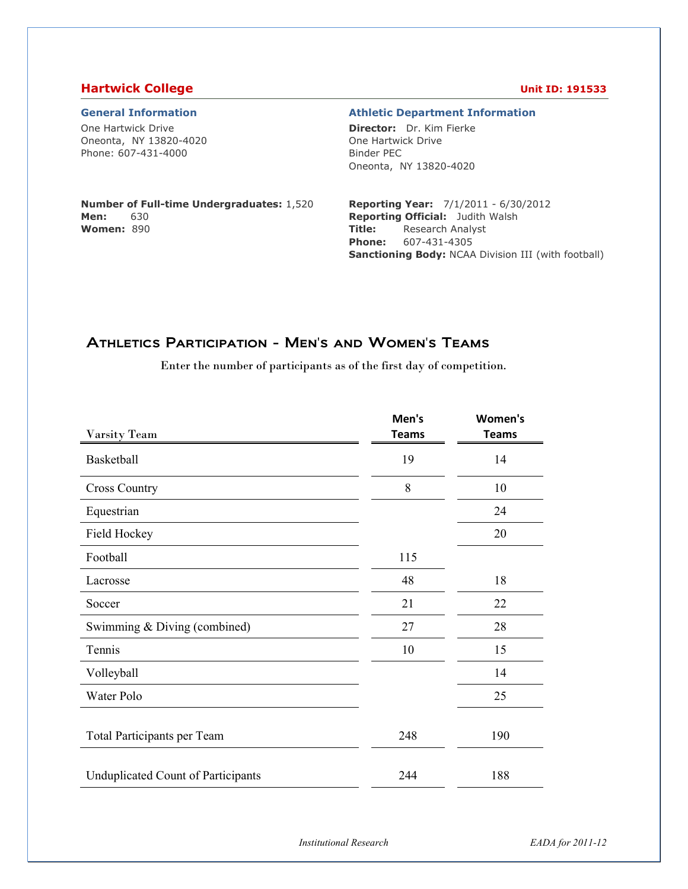#### **Hartwick College Unit ID: 191533**

One Hartwick Drive Oneonta, NY 13820-4020 Phone: 607-431-4000

#### **General Information Athletic Department Information**

**Director:** Dr. Kim Fierke One Hartwick Drive Binder PEC Oneonta, NY 13820-4020

#### **Number of Full-time Undergraduates:** 1,520 **Men:** 630 **Women:** 890

**Reporting Year:** 7/1/2011 - 6/30/2012 **Reporting Official:** Judith Walsh **Title:** Research Analyst **Phone:** 607-431-4305 **Sanctioning Body:** NCAA Division III (with football)

## Athletics Participation - Men's and Women's Teams

Enter the number of participants as of the first day of competition.

|                                           | Men's        | Women's      |
|-------------------------------------------|--------------|--------------|
| <b>Varsity Team</b>                       | <b>Teams</b> | <b>Teams</b> |
| Basketball                                | 19           | 14           |
| <b>Cross Country</b>                      | 8            | 10           |
| Equestrian                                |              | 24           |
| Field Hockey                              |              | 20           |
| Football                                  | 115          |              |
| Lacrosse                                  | 48           | 18           |
| Soccer                                    | 21           | 22           |
| Swimming & Diving (combined)              | 27           | 28           |
| Tennis                                    | 10           | 15           |
| Volleyball                                |              | 14           |
| Water Polo                                |              | 25           |
|                                           |              |              |
| Total Participants per Team               | 248          | 190          |
|                                           |              |              |
| <b>Unduplicated Count of Participants</b> | 244          | 188          |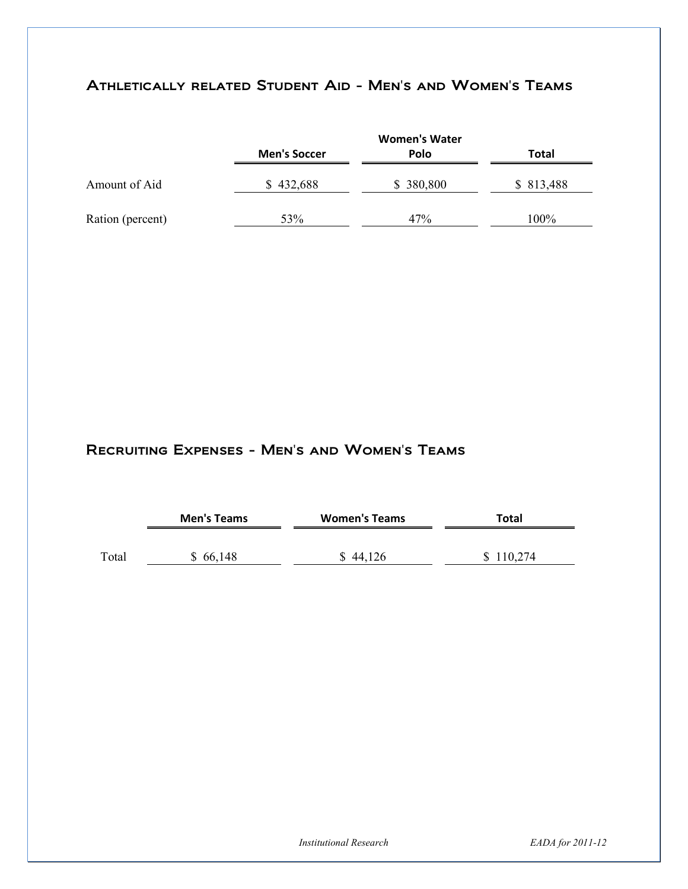# Athletically related Student Aid - Men's and Women's Teams

|                  |                     | <b>Women's Water</b> |           |
|------------------|---------------------|----------------------|-----------|
|                  | <b>Men's Soccer</b> | <b>Polo</b>          | Total     |
| Amount of Aid    | \$432,688           | \$380,800            | \$813,488 |
| Ration (percent) | 53%                 | 47%                  | 100%      |

## Recruiting Expenses - Men's and Women's Teams

|       | <b>Men's Teams</b> | <b>Women's Teams</b> | Total     |
|-------|--------------------|----------------------|-----------|
| Total | \$66,148           | 44.126               | \$110,274 |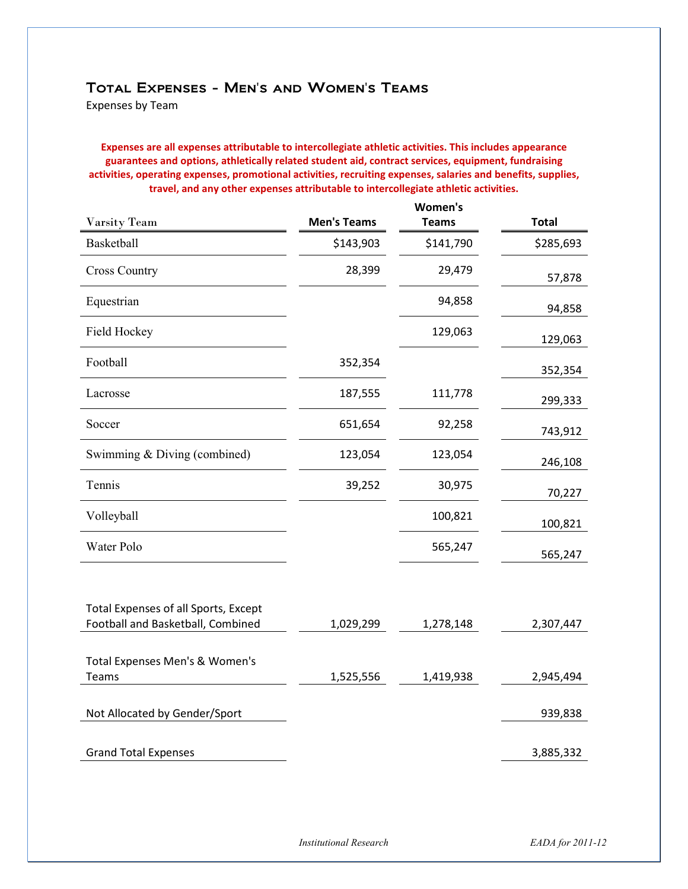#### Total Expenses - Men's and Women's Teams

Expenses by Team

**Expenses are all expenses attributable to intercollegiate athletic activities. This includes appearance guarantees and options, athletically related student aid, contract services, equipment, fundraising activities, operating expenses, promotional activities, recruiting expenses, salaries and benefits, supplies, travel, and any other expenses attributable to intercollegiate athletic activities.** 

|                                         |                    | Women's      |              |
|-----------------------------------------|--------------------|--------------|--------------|
| <b>Varsity Team</b>                     | <b>Men's Teams</b> | <b>Teams</b> | <b>Total</b> |
| Basketball                              | \$143,903          | \$141,790    | \$285,693    |
| <b>Cross Country</b>                    | 28,399             | 29,479       | 57,878       |
| Equestrian                              |                    | 94,858       | 94,858       |
| Field Hockey                            |                    | 129,063      | 129,063      |
| Football                                | 352,354            |              | 352,354      |
| Lacrosse                                | 187,555            | 111,778      | 299,333      |
| Soccer                                  | 651,654            | 92,258       | 743,912      |
| Swimming & Diving (combined)            | 123,054            | 123,054      | 246,108      |
| Tennis                                  | 39,252             | 30,975       | 70,227       |
| Volleyball                              |                    | 100,821      | 100,821      |
| Water Polo                              |                    | 565,247      | 565,247      |
| Total Expenses of all Sports, Except    |                    |              |              |
| Football and Basketball, Combined       | 1,029,299          | 1,278,148    | 2,307,447    |
| Total Expenses Men's & Women's<br>Teams | 1,525,556          | 1,419,938    | 2,945,494    |
| Not Allocated by Gender/Sport           |                    |              | 939,838      |
| <b>Grand Total Expenses</b>             |                    |              | 3,885,332    |

*Institutional Research EADA for 2011-12*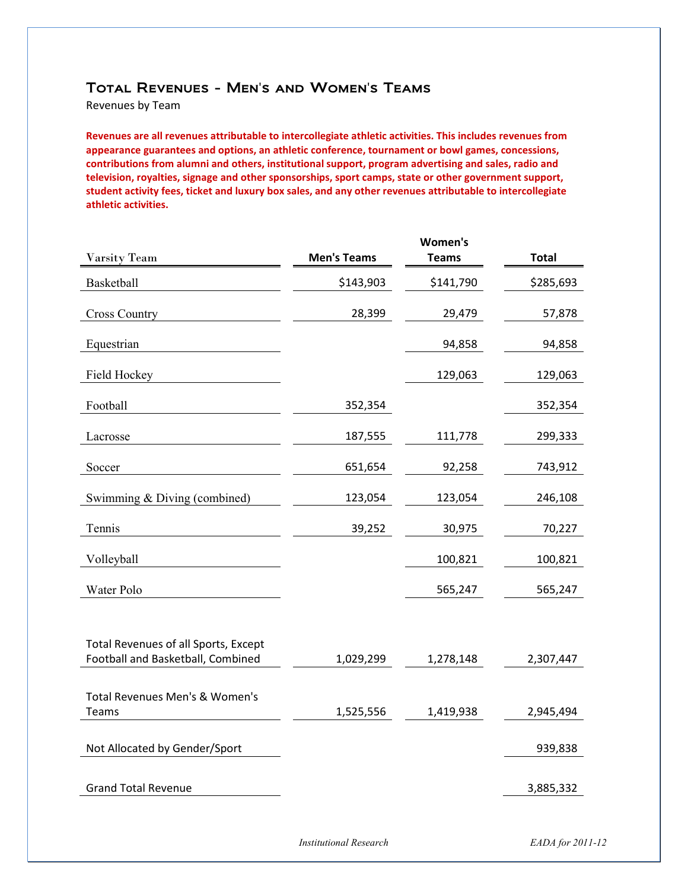#### Total Revenues - Men's and Women's Teams

Revenues by Team

**Revenues are all revenues attributable to intercollegiate athletic activities. This includes revenues from appearance guarantees and options, an athletic conference, tournament or bowl games, concessions, contributions from alumni and others, institutional support, program advertising and sales, radio and television, royalties, signage and other sponsorships, sport camps, state or other government support, student activity fees, ticket and luxury box sales, and any other revenues attributable to intercollegiate athletic activities.** 

|                                                                           |                    | Women's      |              |
|---------------------------------------------------------------------------|--------------------|--------------|--------------|
| Varsity Team                                                              | <b>Men's Teams</b> | <b>Teams</b> | <b>Total</b> |
| Basketball                                                                | \$143,903          | \$141,790    | \$285,693    |
| <b>Cross Country</b>                                                      | 28,399             | 29,479       | 57,878       |
| Equestrian                                                                |                    | 94,858       | 94,858       |
| Field Hockey                                                              |                    | 129,063      | 129,063      |
| Football                                                                  | 352,354            |              | 352,354      |
| Lacrosse                                                                  | 187,555            | 111,778      | 299,333      |
| Soccer                                                                    | 651,654            | 92,258       | 743,912      |
| Swimming & Diving (combined)                                              | 123,054            | 123,054      | 246,108      |
| Tennis                                                                    | 39,252             | 30,975       | 70,227       |
| Volleyball                                                                |                    | 100,821      | 100,821      |
| Water Polo                                                                |                    | 565,247      | 565,247      |
|                                                                           |                    |              |              |
| Total Revenues of all Sports, Except<br>Football and Basketball, Combined | 1,029,299          | 1,278,148    | 2,307,447    |
|                                                                           |                    |              |              |
| Total Revenues Men's & Women's<br><b>Teams</b>                            | 1,525,556          | 1,419,938    | 2,945,494    |
| Not Allocated by Gender/Sport                                             |                    |              | 939,838      |
|                                                                           |                    |              |              |
| <b>Grand Total Revenue</b>                                                |                    |              | 3,885,332    |

*Institutional Research EADA for 2011-12*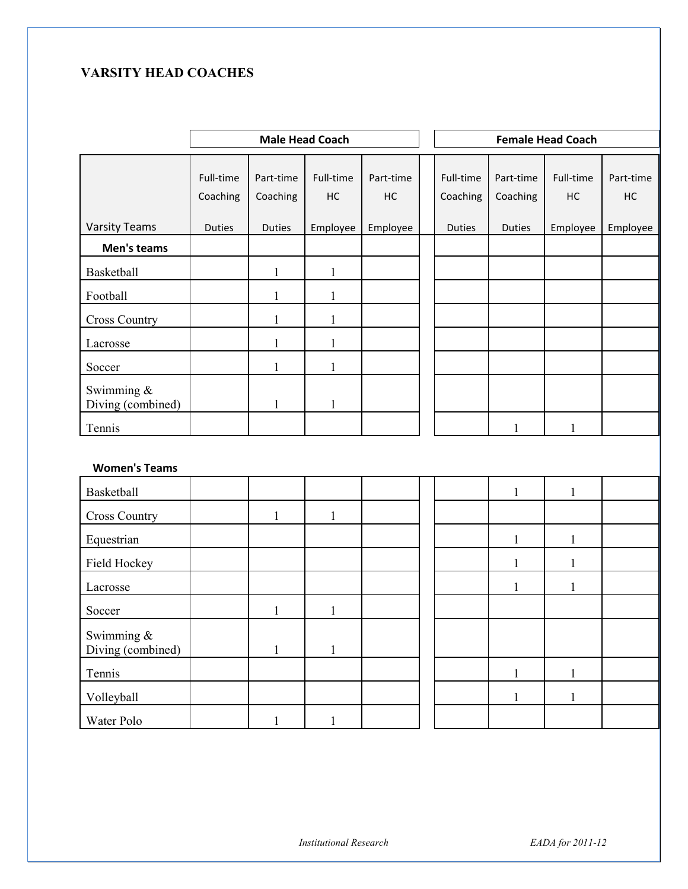## **VARSITY HEAD COACHES**

|                                    | <b>Male Head Coach</b> |                       |                 |                 |                       | <b>Female Head Coach</b> |                 |                 |
|------------------------------------|------------------------|-----------------------|-----------------|-----------------|-----------------------|--------------------------|-----------------|-----------------|
|                                    | Full-time<br>Coaching  | Part-time<br>Coaching | Full-time<br>HC | Part-time<br>HC | Full-time<br>Coaching | Part-time<br>Coaching    | Full-time<br>HC | Part-time<br>HC |
| <b>Varsity Teams</b>               | <b>Duties</b>          | <b>Duties</b>         | Employee        | Employee        | <b>Duties</b>         | <b>Duties</b>            | Employee        | Employee        |
| Men's teams                        |                        |                       |                 |                 |                       |                          |                 |                 |
| Basketball                         |                        | $\mathbf{1}$          | $\mathbf{1}$    |                 |                       |                          |                 |                 |
| Football                           |                        | $\mathbf{1}$          | $\mathbf{1}$    |                 |                       |                          |                 |                 |
| <b>Cross Country</b>               |                        | $\mathbf{1}$          | $\mathbf{1}$    |                 |                       |                          |                 |                 |
| Lacrosse                           |                        | $\mathbf{1}$          | $\mathbf{1}$    |                 |                       |                          |                 |                 |
| Soccer                             |                        | $\mathbf{1}$          | $\mathbf{1}$    |                 |                       |                          |                 |                 |
| Swimming &<br>Diving (combined)    |                        | $\mathbf{1}$          | $\mathbf{1}$    |                 |                       |                          |                 |                 |
| Tennis                             |                        |                       |                 |                 |                       | $\mathbf{1}$             | $\mathbf{1}$    |                 |
| <b>Women's Teams</b>               |                        |                       |                 |                 |                       |                          |                 |                 |
| Basketball                         |                        |                       |                 |                 |                       | $\mathbf{1}$             | $\mathbf{1}$    |                 |
| <b>Cross Country</b>               |                        | $\mathbf{1}$          | 1               |                 |                       |                          |                 |                 |
| Equestrian                         |                        |                       |                 |                 |                       | $\mathbf{1}$             | $\mathbf{1}$    |                 |
| Field Hockey                       |                        |                       |                 |                 |                       | $\mathbf{1}$             | $\mathbf{1}$    |                 |
| Lacrosse                           |                        |                       |                 |                 |                       | $\mathbf{1}$             | $\mathbf{1}$    |                 |
| Soccer                             |                        | $\mathbf{1}$          | $\mathbf{1}$    |                 |                       |                          |                 |                 |
| Swimming $\&$<br>Diving (combined) |                        | $\mathbf{1}$          | $\mathbf{1}$    |                 |                       |                          |                 |                 |
| Tennis                             |                        |                       |                 |                 |                       | $\mathbf{1}$             | $\mathbf{1}$    |                 |
| Volleyball                         |                        |                       |                 |                 |                       | $\mathbf{1}$             | $\mathbf{1}$    |                 |
| Water Polo                         |                        | $\mathbf{1}$          | $\mathbf{1}$    |                 |                       |                          |                 |                 |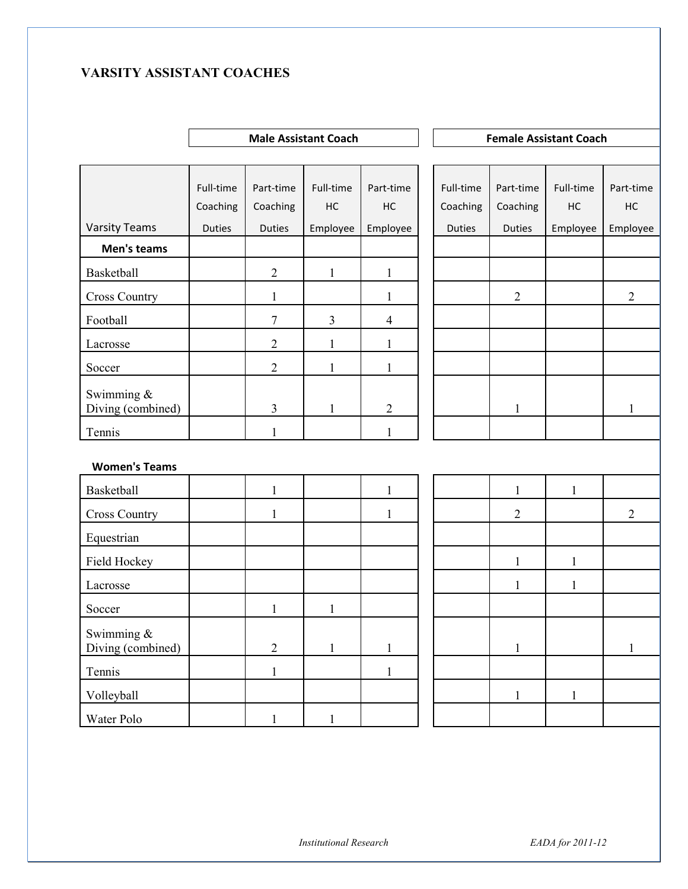## **VARSITY ASSISTANT COACHES**

|                                 | <b>Male Assistant Coach</b><br><b>Female Assistant Coach</b> |                       |                 |                 |  |                       |                       |                 |                 |
|---------------------------------|--------------------------------------------------------------|-----------------------|-----------------|-----------------|--|-----------------------|-----------------------|-----------------|-----------------|
|                                 |                                                              |                       |                 |                 |  |                       |                       |                 |                 |
|                                 | Full-time<br>Coaching                                        | Part-time<br>Coaching | Full-time<br>HC | Part-time<br>HC |  | Full-time<br>Coaching | Part-time<br>Coaching | Full-time<br>HC | Part-time<br>HC |
| <b>Varsity Teams</b>            | Duties                                                       | <b>Duties</b>         | Employee        | Employee        |  | <b>Duties</b>         | <b>Duties</b>         | Employee        | Employee        |
| Men's teams                     |                                                              |                       |                 |                 |  |                       |                       |                 |                 |
| Basketball                      |                                                              | $\sqrt{2}$            | $\mathbf{1}$    | $\mathbf{1}$    |  |                       |                       |                 |                 |
| <b>Cross Country</b>            |                                                              | $\mathbf{1}$          |                 | 1               |  |                       | $\overline{2}$        |                 | $\overline{2}$  |
| Football                        |                                                              | 7                     | $\overline{3}$  | $\overline{4}$  |  |                       |                       |                 |                 |
| Lacrosse                        |                                                              | $\overline{2}$        | $\mathbf{1}$    | 1               |  |                       |                       |                 |                 |
| Soccer                          |                                                              | $\overline{2}$        | 1               | 1               |  |                       |                       |                 |                 |
| Swimming &<br>Diving (combined) |                                                              | 3                     | $\mathbf{1}$    | $\overline{2}$  |  |                       | 1                     |                 | 1               |
| Tennis                          |                                                              | $\mathbf{1}$          |                 | $\mathbf{1}$    |  |                       |                       |                 |                 |
| <b>Women's Teams</b>            |                                                              |                       |                 |                 |  |                       |                       |                 |                 |
| Basketball                      |                                                              | $\mathbf{1}$          |                 | $\mathbf{1}$    |  |                       | $\mathbf{1}$          | $\mathbf{1}$    |                 |
| <b>Cross Country</b>            |                                                              | 1                     |                 | $\mathbf{1}$    |  |                       | 2                     |                 | $\sqrt{2}$      |
| Equestrian                      |                                                              |                       |                 |                 |  |                       |                       |                 |                 |
| Field Hockey                    |                                                              |                       |                 |                 |  |                       | $\mathbf{1}$          | $\mathbf{1}$    |                 |
| Lacrosse                        |                                                              |                       |                 |                 |  |                       | $\mathbf{1}$          | $\mathbf{1}$    |                 |
| Soccer                          |                                                              | 1                     | $\mathbf{1}$    |                 |  |                       |                       |                 |                 |
| Swimming &<br>Diving (combined) |                                                              | $\overline{2}$        | $\mathbf{1}$    | $\mathbf{1}$    |  |                       | $\,1$                 |                 | $\mathbf{1}$    |
| Tennis                          |                                                              | $\mathbf{1}$          |                 | $\mathbf{1}$    |  |                       |                       |                 |                 |
| Volleyball                      |                                                              |                       |                 |                 |  |                       | $\mathbf{1}$          | $\mathbf{1}$    |                 |
| Water Polo                      |                                                              | $\mathbf{1}$          | $\mathbf{1}$    |                 |  |                       |                       |                 |                 |